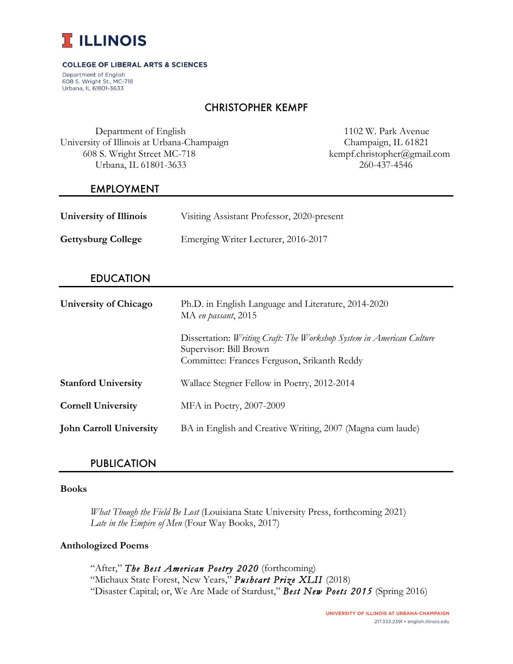

#### **COLLEGE OF LIBERAL ARTS & SCIENCES**

Department of English 608 S. Wright St., MC-718 Urbana, IL 61801-3633

# CHRISTOPHER KEMPF

 Department of English 1102 W. Park Avenue University of Illinois at Urbana-Champaign Champaign, IL 61821 608 S. Wright Street MC-718 kempf.christopher@gmail.com Urbana, IL 61801-3633 260-437-4546

### EMPLOYMENT

| <b>University of Illinois</b> | Visiting Assistant Professor, 2020-present |
|-------------------------------|--------------------------------------------|
| <b>Gettysburg College</b>     | Emerging Writer Lecturer, 2016-2017        |

## EDUCATION

| <b>University of Chicago</b>   | Ph.D. in English Language and Literature, 2014-2020<br>MA en passant, 2015                                                                    |  |
|--------------------------------|-----------------------------------------------------------------------------------------------------------------------------------------------|--|
|                                | Dissertation: Writing Craft: The Workshop System in American Culture<br>Supervisor: Bill Brown<br>Committee: Frances Ferguson, Srikanth Reddy |  |
| <b>Stanford University</b>     | Wallace Stegner Fellow in Poetry, 2012-2014                                                                                                   |  |
| <b>Cornell University</b>      | MFA in Poetry, 2007-2009                                                                                                                      |  |
| <b>John Carroll University</b> | BA in English and Creative Writing, 2007 (Magna cum laude)                                                                                    |  |

# PUBLICATION

#### **Books**

*What Though the Field Be Lost* (Louisiana State University Press, forthcoming 2021) *Late in the Empire of Men* (Four Way Books, 2017)

#### **Anthologized Poems**

"After," *The Best American Poetry 2020* (forthcoming) "Michaux State Forest, New Years," *Pushcart Prize XLII* (2018) "Disaster Capital; or, We Are Made of Stardust," *Best New Poets 2015* (Spring 2016)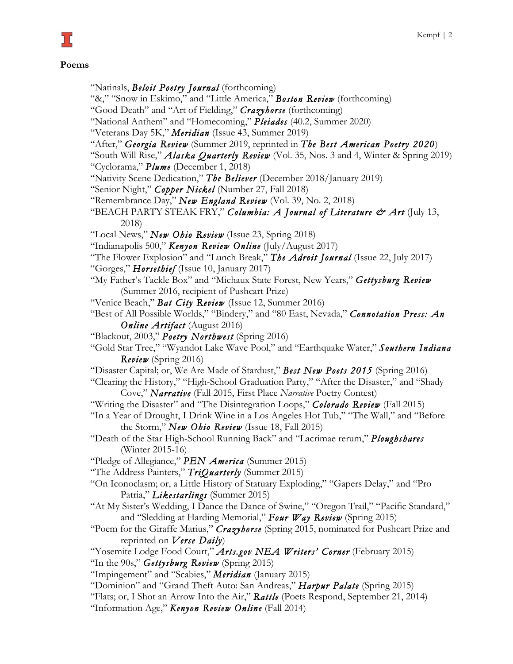#### **Poems**

ב' נ

- "Natinals, *Beloit Poetry Journal* (forthcoming)
- "&," "Snow in Eskimo," and "Little America," *Boston Review* (forthcoming)
- "Good Death" and "Art of Fielding," *Crazyhorse* (forthcoming)
- "National Anthem" and "Homecoming," *Pleiades* (40.2, Summer 2020)
- "Veterans Day 5K," *Meridian* (Issue 43, Summer 2019)
- "After," *Georgia Review* (Summer 2019, reprinted in *The Best American Poetry 2020*)
- "South Will Rise," *Alaska Quarterly Review* (Vol. 35, Nos. 3 and 4, Winter & Spring 2019) "Cyclorama," *Plume* (December 1, 2018)
- "Nativity Scene Dedication," *The Believer* (December 2018/January 2019)
- "Senior Night," *Copper Nickel* (Number 27, Fall 2018)
- "Remembrance Day," *New England Review* (Vol. 39, No. 2, 2018)
- "BEACH PARTY STEAK FRY," *Columbia: A Journal of Literature & Art* (July 13, 2018)
- "Local News," *New Ohio Review* (Issue 23, Spring 2018)
- "Indianapolis 500," *Kenyon Review Online* (July/August 2017)
- "The Flower Explosion" and "Lunch Break," *The Adroit Journal* (Issue 22, July 2017)
- "Gorges," *Horsethief* (Issue 10, January 2017)
- "My Father's Tackle Box" and "Michaux State Forest, New Years," *Gettysburg Review* (Summer 2016, recipient of Pushcart Prize)
- "Venice Beach," *Bat City Review* (Issue 12, Summer 2016)
- "Best of All Possible Worlds," "Bindery," and "80 East, Nevada," *Connotation Press: An Online Artifact* (August 2016)
- "Blackout, 2003," *Poetry Northwest* (Spring 2016)
- "Gold Star Tree," "Wyandot Lake Wave Pool," and "Earthquake Water," *Southern Indiana Review* (Spring 2016)
- "Disaster Capital; or, We Are Made of Stardust," *Best New Poets 2015* (Spring 2016)
- "Clearing the History," "High-School Graduation Party," "After the Disaster," and "Shady Cove," *Narrative* (Fall 2015, First Place *Narrative* Poetry Contest)
- "Writing the Disaster" and "The Disintegration Loops," *Colorado Review* (Fall 2015)
- "In a Year of Drought, I Drink Wine in a Los Angeles Hot Tub," "The Wall," and "Before the Storm," *New Ohio Review* (Issue 18, Fall 2015)
- "Death of the Star High-School Running Back" and "Lacrimae rerum," *Ploughshares* (Winter 2015-16)
- "Pledge of Allegiance," *PEN America* (Summer 2015)
- "The Address Painters," *TriQuarterly* (Summer 2015)
- "On Iconoclasm; or, a Little History of Statuary Exploding," "Gapers Delay," and "Pro Patria," *Likestarlings* (Summer 2015)
- "At My Sister's Wedding, I Dance the Dance of Swine," "Oregon Trail," "Pacific Standard," and "Sledding at Harding Memorial," *Four Way Review* (Spring 2015)
- "Poem for the Giraffe Marius," *Crazyhorse* (Spring 2015, nominated for Pushcart Prize and reprinted on *Verse Daily*)
- "Yosemite Lodge Food Court," *Arts.gov NEA Writers' Corner* (February 2015) "In the 90s," *Gettysburg Review* (Spring 2015)
- "Impingement" and "Scabies," *Meridian* (January 2015)
- "Dominion" and "Grand Theft Auto: San Andreas," *Harpur Palate* (Spring 2015)
- "Flats; or, I Shot an Arrow Into the Air," *Rattle* (Poets Respond, September 21, 2014)
- "Information Age," *Kenyon Review Online* (Fall 2014)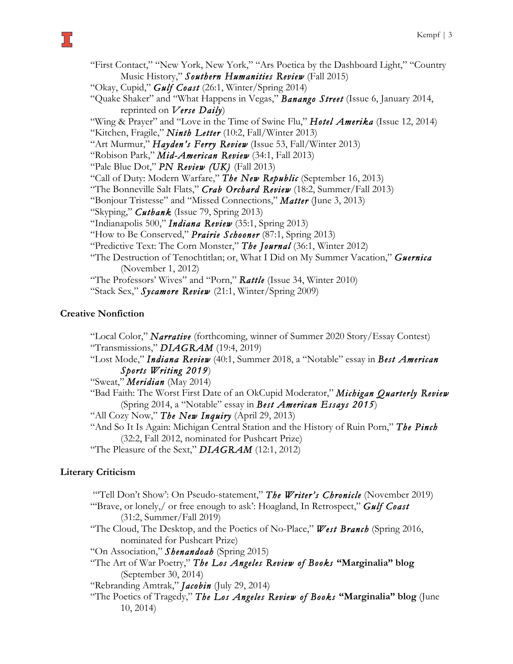"First Contact," "New York, New York," "Ars Poetica by the Dashboard Light," "Country Music History," *Southern Humanities Review* (Fall 2015) "Okay, Cupid," *Gulf Coast* (26:1, Winter/Spring 2014) "Quake Shaker" and "What Happens in Vegas," *Banango Street* (Issue 6, January 2014, reprinted on *Verse Daily*) "Wing & Prayer" and "Love in the Time of Swine Flu," *Hotel Amerika* (Issue 12, 2014) "Kitchen, Fragile," *Ninth Letter* (10:2, Fall/Winter 2013) "Art Murmur," *Hayden's Ferry Review* (Issue 53, Fall/Winter 2013) "Robison Park," *Mid-American Review* (34:1, Fall 2013) "Pale Blue Dot," *PN Review (UK)* (Fall 2013) "Call of Duty: Modern Warfare," *The New Republic* (September 16, 2013) "The Bonneville Salt Flats," *Crab Orchard Review* (18:2, Summer/Fall 2013) "Bonjour Tristesse" and "Missed Connections," *Matter* (June 3, 2013) "Skyping," *Cutbank* (Issue 79, Spring 2013) "Indianapolis 500," *Indiana Review* (35:1, Spring 2013) "How to Be Conserved," *Prairie Schooner* (87:1, Spring 2013) "Predictive Text: The Corn Monster," *The Journal* (36:1, Winter 2012) "The Destruction of Tenochtitlan; or, What I Did on My Summer Vacation," *Guernica* (November 1, 2012) "The Professors' Wives" and "Porn," *Rattle* (Issue 34, Winter 2010) "Stack Sex," *Sycamore Review* (21:1, Winter/Spring 2009)

# **Creative Nonfiction**

"Local Color," *Narrative* (forthcoming, winner of Summer 2020 Story/Essay Contest) "Transmissions," *DIAGRAM* (19:4, 2019) "Lost Mode," *Indiana Review* (40:1, Summer 2018, a "Notable" essay in *Best American Sports Writing 2019*) "Sweat," *Meridian* (May 2014) "Bad Faith: The Worst First Date of an OkCupid Moderator," *Michigan Quarterly Review* (Spring 2014, a "Notable" essay in *Best American Essays 2015*) "All Cozy Now," *The New Inquiry* (April 29, 2013) "And So It Is Again: Michigan Central Station and the History of Ruin Porn," *The Pinch* (32:2, Fall 2012, nominated for Pushcart Prize) "The Pleasure of the Sext," *DIAGRAM* (12:1, 2012)

# **Literary Criticism**

"Tell Don't Show': On Pseudo-statement," The Writer's Chronicle (November 2019) "'Brave, or lonely,/ or free enough to ask': Hoagland, In Retrospect," *Gulf Coast* (31:2, Summer/Fall 2019) "The Cloud, The Desktop, and the Poetics of No-Place," *West Branch* (Spring 2016, nominated for Pushcart Prize) "On Association," *Shenandoah* (Spring 2015) "The Art of War Poetry," *The Los Angeles Review of Books* **"Marginalia" blog** (September 30, 2014) "Rebranding Amtrak," *Jacobin* (July 29, 2014) "The Poetics of Tragedy," *The Los Angeles Review of Books* **"Marginalia" blog** (June 10, 2014)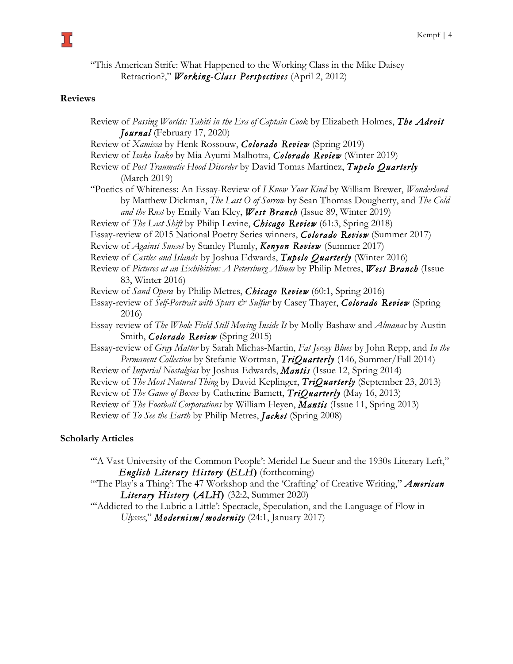"This American Strife: What Happened to the Working Class in the Mike Daisey Retraction?," *Working-Class Perspectives* (April 2, 2012)

#### **Reviews**

ב ל

Review of *Passing Worlds: Tahiti in the Era of Captain Cook* by Elizabeth Holmes, *The Adroit Journal* (February 17, 2020) Review of *Xamissa* by Henk Rossouw, *Colorado Review* (Spring 2019) Review of *Isako Isako* by Mia Ayumi Malhotra, *Colorado Review* (Winter 2019) Review of *Post Traumatic Hood Disorder* by David Tomas Martinez, *Tupelo Quarterly* (March 2019) "Poetics of Whiteness: An Essay-Review of *I Know Your Kind* by William Brewer, *Wonderland* by Matthew Dickman, *The Last O of Sorrow* by Sean Thomas Dougherty, and *The Cold and the Rust* by Emily Van Kley, *West Branch* (Issue 89, Winter 2019) Review of *The Last Shift* by Philip Levine, *Chicago Review* (61:3, Spring 2018) Essay-review of 2015 National Poetry Series winners, *Colorado Review* (Summer 2017) Review of *Against Sunset* by Stanley Plumly, *Kenyon Review* (Summer 2017) Review of *Castles and Islands* by Joshua Edwards, *Tupelo Quarterly* (Winter 2016) Review of *Pictures at an Exhibition: A Petersburg Album* by Philip Metres, *West Branch* (Issue 83, Winter 2016) Review of *Sand Opera* by Philip Metres, *Chicago Review* (60:1, Spring 2016) Essay-review of *Self-Portrait with Spurs & Sulfur* by Casey Thayer, *Colorado Review* (Spring 2016) Essay-review of *The Whole Field Still Moving Inside It* by Molly Bashaw and *Almanac* by Austin Smith, *Colorado Review* (Spring 2015) Essay-review of *Gray Matter* by Sarah Michas-Martin, *Fat Jersey Blues* by John Repp, and *In the Permanent Collection* by Stefanie Wortman, *TriQuarterly* (146, Summer/Fall 2014) Review of *Imperial Nostalgias* by Joshua Edwards, *Mantis* (Issue 12, Spring 2014) Review of *The Most Natural Thing* by David Keplinger, *TriQuarterly* (September 23, 2013) Review of *The Game of Boxes* by Catherine Barnett, *TriQuarterly* (May 16, 2013) Review of *The Football Corporations* by William Heyen, *Mantis* (Issue 11, Spring 2013) Review of *To See the Earth* by Philip Metres, *Jacket* (Spring 2008)

### **Scholarly Articles**

- "A Vast University of the Common People': Meridel Le Sueur and the 1930s Literary Left," *English Literary History* **(***ELH***)** (forthcoming)
- "'The Play's a Thing': The 47 Workshop and the 'Crafting' of Creative Writing," *American Literary History* **(***ALH***)**(32:2, Summer 2020)
- "'Addicted to the Lubric a Little': Spectacle, Speculation, and the Language of Flow in *Ulysses*," *Modernism/modernity* (24:1, January 2017)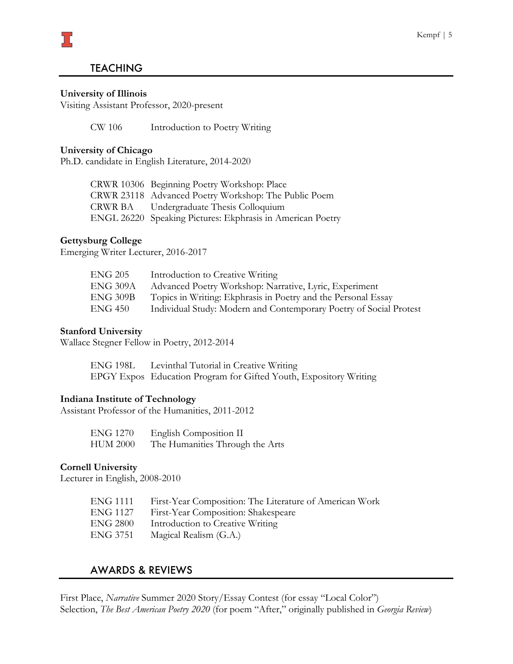# **TEACHING**

#### **University of Illinois**

כ 1

Visiting Assistant Professor, 2020-present

CW 106 Introduction to Poetry Writing

#### **University of Chicago**

Ph.D. candidate in English Literature, 2014-2020

| CRWR 10306 Beginning Poetry Workshop: Place                |
|------------------------------------------------------------|
| CRWR 23118 Advanced Poetry Workshop: The Public Poem       |
| CRWR BA Undergraduate Thesis Colloquium                    |
| ENGL 26220 Speaking Pictures: Ekphrasis in American Poetry |

#### **Gettysburg College**

Emerging Writer Lecturer, 2016-2017

| ENG 205         | Introduction to Creative Writing                                   |
|-----------------|--------------------------------------------------------------------|
| <b>ENG 309A</b> | Advanced Poetry Workshop: Narrative, Lyric, Experiment             |
| <b>ENG 309B</b> | Topics in Writing: Ekphrasis in Poetry and the Personal Essay      |
| ENG 450         | Individual Study: Modern and Contemporary Poetry of Social Protest |

#### **Stanford University**

Wallace Stegner Fellow in Poetry, 2012-2014

ENG 198L Levinthal Tutorial in Creative Writing EPGY Expos Education Program for Gifted Youth, Expository Writing

#### **Indiana Institute of Technology**

Assistant Professor of the Humanities, 2011-2012

| <b>ENG 1270</b> | English Composition II          |
|-----------------|---------------------------------|
| <b>HUM 2000</b> | The Humanities Through the Arts |

#### **Cornell University**

Lecturer in English, 2008-2010

| ENG 1111 | First-Year Composition: The Literature of American Work |
|----------|---------------------------------------------------------|
| ENG 1127 | First-Year Composition: Shakespeare                     |
| ENG 2800 | Introduction to Creative Writing                        |
| ENG 3751 | Magical Realism (G.A.)                                  |

# AWARDS & REVIEWS

First Place, *Narrative* Summer 2020 Story/Essay Contest (for essay "Local Color") Selection, *The Best American Poetry 2020* (for poem "After," originally published in *Georgia Review*)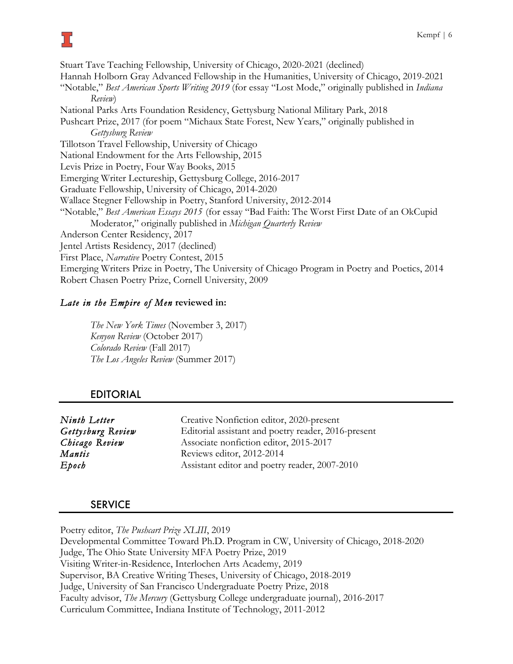Stuart Tave Teaching Fellowship, University of Chicago, 2020-2021 (declined) Hannah Holborn Gray Advanced Fellowship in the Humanities, University of Chicago, 2019-2021 "Notable," *Best American Sports Writing 2019* (for essay "Lost Mode," originally published in *Indiana Review*) National Parks Arts Foundation Residency, Gettysburg National Military Park, 2018 Pushcart Prize, 2017 (for poem "Michaux State Forest, New Years," originally published in *Gettysburg Review*  Tillotson Travel Fellowship, University of Chicago National Endowment for the Arts Fellowship, 2015 Levis Prize in Poetry, Four Way Books, 2015 Emerging Writer Lectureship, Gettysburg College, 2016-2017 Graduate Fellowship, University of Chicago, 2014-2020 Wallace Stegner Fellowship in Poetry, Stanford University, 2012-2014 "Notable," *Best American Essays 2015* (for essay "Bad Faith: The Worst First Date of an OkCupid Moderator," originally published in *Michigan Quarterly Review* Anderson Center Residency, 2017 Jentel Artists Residency, 2017 (declined) First Place, *Narrative* Poetry Contest, 2015 Emerging Writers Prize in Poetry, The University of Chicago Program in Poetry and Poetics, 2014 Robert Chasen Poetry Prize, Cornell University, 2009

# *Late in the Empire of Men* **reviewed in:**

*The New York Times* (November 3, 2017) *Kenyon Review* (October 2017) *Colorado Review* (Fall 2017) *The Los Angeles Review* (Summer 2017)

# EDITORIAL

| Ninth Letter      | Creative Nonfiction editor, 2020-present            |
|-------------------|-----------------------------------------------------|
| Gettysburg Review | Editorial assistant and poetry reader, 2016-present |
| Chicago Review    | Associate nonfiction editor, 2015-2017              |
| Mantis            | Reviews editor, 2012-2014                           |
| $E$ poch          | Assistant editor and poetry reader, 2007-2010       |

### **SERVICE**

Poetry editor, *The Pushcart Prize XLIII*, 2019 Developmental Committee Toward Ph.D. Program in CW, University of Chicago, 2018-2020 Judge, The Ohio State University MFA Poetry Prize, 2019 Visiting Writer-in-Residence, Interlochen Arts Academy, 2019 Supervisor, BA Creative Writing Theses, University of Chicago, 2018-2019 Judge, University of San Francisco Undergraduate Poetry Prize, 2018 Faculty advisor, *The Mercury* (Gettysburg College undergraduate journal), 2016-2017 Curriculum Committee, Indiana Institute of Technology, 2011-2012

# ב ל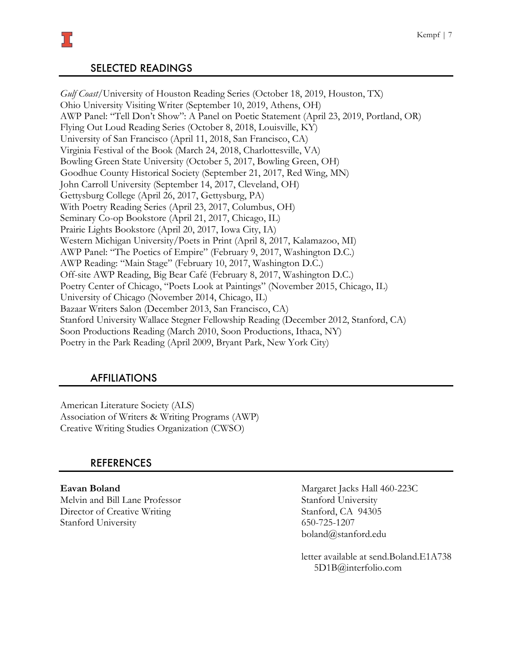# SELECTED READINGS

*Gulf Coast*/University of Houston Reading Series (October 18, 2019, Houston, TX) Ohio University Visiting Writer (September 10, 2019, Athens, OH) AWP Panel: "Tell Don't Show": A Panel on Poetic Statement (April 23, 2019, Portland, OR) Flying Out Loud Reading Series (October 8, 2018, Louisville, KY) University of San Francisco (April 11, 2018, San Francisco, CA) Virginia Festival of the Book (March 24, 2018, Charlottesville, VA) Bowling Green State University (October 5, 2017, Bowling Green, OH) Goodhue County Historical Society (September 21, 2017, Red Wing, MN) John Carroll University (September 14, 2017, Cleveland, OH) Gettysburg College (April 26, 2017, Gettysburg, PA) With Poetry Reading Series (April 23, 2017, Columbus, OH) Seminary Co-op Bookstore (April 21, 2017, Chicago, IL) Prairie Lights Bookstore (April 20, 2017, Iowa City, IA) Western Michigan University/Poets in Print (April 8, 2017, Kalamazoo, MI) AWP Panel: "The Poetics of Empire" (February 9, 2017, Washington D.C.) AWP Reading: "Main Stage" (February 10, 2017, Washington D.C.) Off-site AWP Reading, Big Bear Café (February 8, 2017, Washington D.C.) Poetry Center of Chicago, "Poets Look at Paintings" (November 2015, Chicago, IL) University of Chicago (November 2014, Chicago, IL) Bazaar Writers Salon (December 2013, San Francisco, CA) Stanford University Wallace Stegner Fellowship Reading (December 2012, Stanford, CA) Soon Productions Reading (March 2010, Soon Productions, Ithaca, NY) Poetry in the Park Reading (April 2009, Bryant Park, New York City)

### AFFILIATIONS

American Literature Society (ALS) Association of Writers & Writing Programs (AWP) Creative Writing Studies Organization (CWSO)

### REFERENCES

Melvin and Bill Lane Professor Stanford University Director of Creative Writing Stanford, CA 94305 Stanford University 650-725-1207

**Eavan Boland** Margaret Jacks Hall 460-223C boland@stanford.edu

> letter available at send.Boland.E1A738 5D1B@interfolio.com